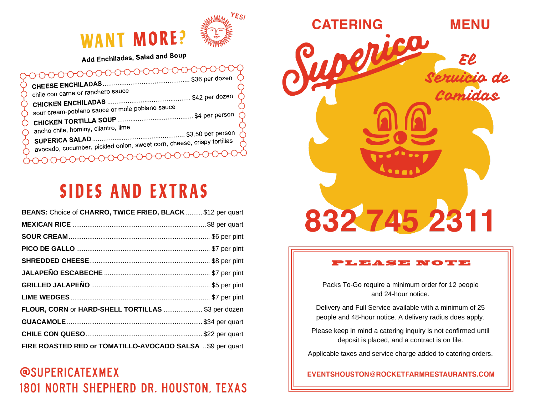

## **WANT MORE?**

Add Enchiladas, Salad and Soup

#### ᠔᠊ᡉᡉ᠍ᡉᡉᡉᡉᡉᡉᡉᡉᠦᠥᠥᠥ

| chile con carne or ranchero sauce                                      |  |
|------------------------------------------------------------------------|--|
|                                                                        |  |
| sour cream-poblano sauce or mole poblano sauce                         |  |
|                                                                        |  |
| ancho chile, hominy, cilantro, lime                                    |  |
| avocado, cucumber, pickled onion, sweet corn, cheese, crispy tortillas |  |
|                                                                        |  |
|                                                                        |  |
|                                                                        |  |

## **SIDES AND EXTRAS**

| BEANS: Choice of CHARRO, TWICE FRIED, BLACK  \$12 per quart |  |
|-------------------------------------------------------------|--|
|                                                             |  |
|                                                             |  |
|                                                             |  |
|                                                             |  |
|                                                             |  |
|                                                             |  |
|                                                             |  |
| FLOUR, CORN or HARD-SHELL TORTILLAS  \$3 per dozen          |  |
|                                                             |  |
|                                                             |  |
| FIRE ROASTED RED or TOMATILLO-AVOCADO SALSA \$9 per quart   |  |

### **@SUPERICATEXMEX** 1801 NORTH SHEPHERD DR. HOUSTON, TEXAS



#### PLEASE NOTE

Packs To-Go require a minimum order for 12 people and 24-hour notice.

Delivery and Full Service available with a minimum of 25 people and 48-hour notice. A delivery radius does apply.

Please keep in mind a catering inquiry is not confirmed until deposit is placed, and a contract is on file.

Applicable taxes and service charge added to catering orders.

EVENTSHOUSTON@ROCKETFARMRESTAURANTS.COM